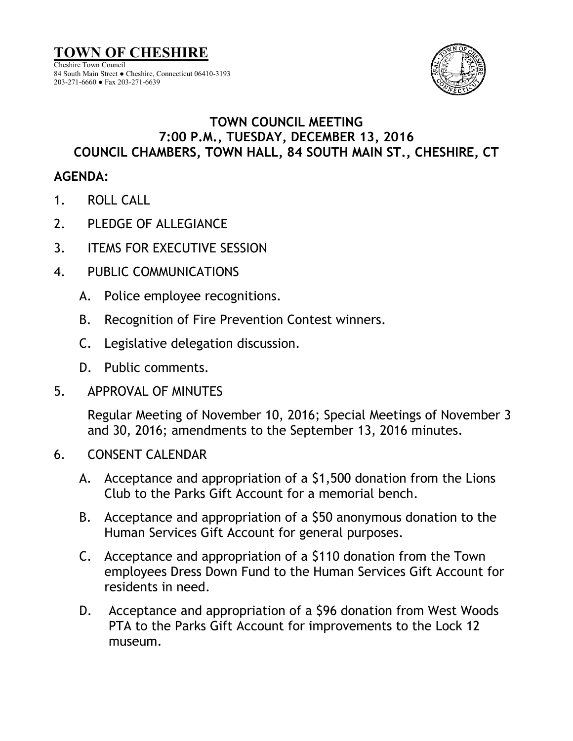

## **TOWN COUNCIL MEETING 7:00 P.M., TUESDAY, DECEMBER 13, 2016 COUNCIL CHAMBERS, TOWN HALL, 84 SOUTH MAIN ST., CHESHIRE, CT**

## **AGENDA:**

- 1. ROLL CALL
- 2. PLEDGE OF ALLEGIANCE
- 3. ITEMS FOR EXECUTIVE SESSION
- 4. PUBLIC COMMUNICATIONS
	- A. Police employee recognitions.
	- B. Recognition of Fire Prevention Contest winners.
	- C. Legislative delegation discussion.
	- D. Public comments.
- 5. APPROVAL OF MINUTES

Regular Meeting of November 10, 2016; Special Meetings of November 3 and 30, 2016; amendments to the September 13, 2016 minutes.

- 6. CONSENT CALENDAR
	- A. Acceptance and appropriation of a \$1,500 donation from the Lions Club to the Parks Gift Account for a memorial bench.
	- B. Acceptance and appropriation of a \$50 anonymous donation to the Human Services Gift Account for general purposes.
	- C. Acceptance and appropriation of a \$110 donation from the Town employees Dress Down Fund to the Human Services Gift Account for residents in need.
	- D. Acceptance and appropriation of a \$96 donation from West Woods PTA to the Parks Gift Account for improvements to the Lock 12 museum.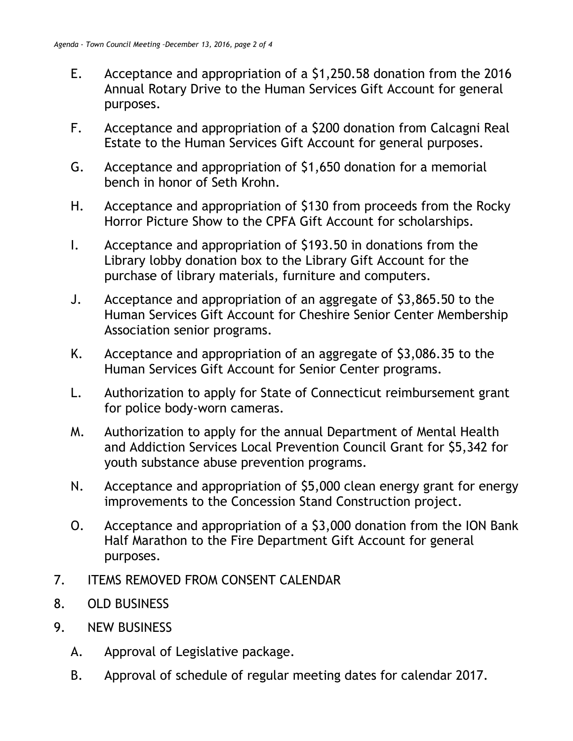- E. Acceptance and appropriation of a \$1,250.58 donation from the 2016 Annual Rotary Drive to the Human Services Gift Account for general purposes.
- F. Acceptance and appropriation of a \$200 donation from Calcagni Real Estate to the Human Services Gift Account for general purposes.
- G. Acceptance and appropriation of \$1,650 donation for a memorial bench in honor of Seth Krohn.
- H. Acceptance and appropriation of \$130 from proceeds from the Rocky Horror Picture Show to the CPFA Gift Account for scholarships.
- I. Acceptance and appropriation of \$193.50 in donations from the Library lobby donation box to the Library Gift Account for the purchase of library materials, furniture and computers.
- J. Acceptance and appropriation of an aggregate of \$3,865.50 to the Human Services Gift Account for Cheshire Senior Center Membership Association senior programs.
- K. Acceptance and appropriation of an aggregate of \$3,086.35 to the Human Services Gift Account for Senior Center programs.
- L. Authorization to apply for State of Connecticut reimbursement grant for police body-worn cameras.
- M. Authorization to apply for the annual Department of Mental Health and Addiction Services Local Prevention Council Grant for \$5,342 for youth substance abuse prevention programs.
- N. Acceptance and appropriation of \$5,000 clean energy grant for energy improvements to the Concession Stand Construction project.
- O. Acceptance and appropriation of a \$3,000 donation from the ION Bank Half Marathon to the Fire Department Gift Account for general purposes.
- 7. ITEMS REMOVED FROM CONSENT CALENDAR
- 8. OLD BUSINESS
- 9. NEW BUSINESS
	- A. Approval of Legislative package.
	- B. Approval of schedule of regular meeting dates for calendar 2017.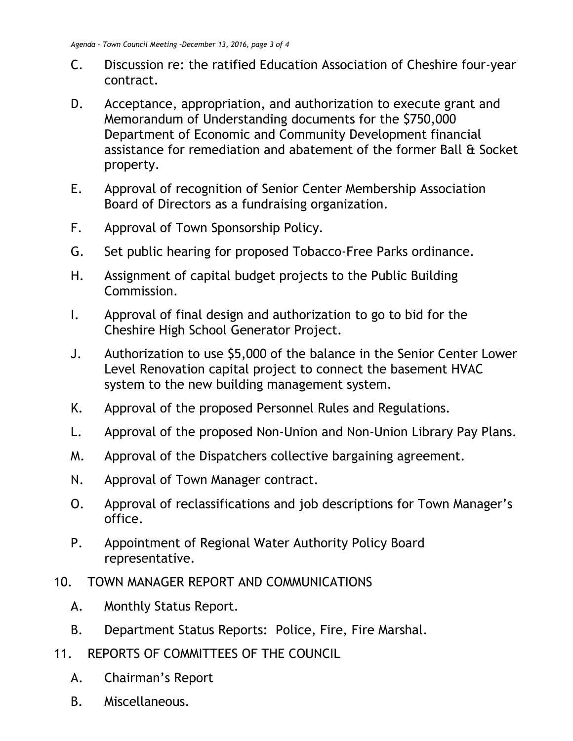- C. Discussion re: the ratified Education Association of Cheshire four-year contract.
- D. Acceptance, appropriation, and authorization to execute grant and Memorandum of Understanding documents for the \$750,000 Department of Economic and Community Development financial assistance for remediation and abatement of the former Ball & Socket property.
- E. Approval of recognition of Senior Center Membership Association Board of Directors as a fundraising organization.
- F. Approval of Town Sponsorship Policy.
- G. Set public hearing for proposed Tobacco-Free Parks ordinance.
- H. Assignment of capital budget projects to the Public Building Commission.
- I. Approval of final design and authorization to go to bid for the Cheshire High School Generator Project.
- J. Authorization to use \$5,000 of the balance in the Senior Center Lower Level Renovation capital project to connect the basement HVAC system to the new building management system.
- K. Approval of the proposed Personnel Rules and Regulations.
- L. Approval of the proposed Non-Union and Non-Union Library Pay Plans.
- M. Approval of the Dispatchers collective bargaining agreement.
- N. Approval of Town Manager contract.
- O. Approval of reclassifications and job descriptions for Town Manager's office.
- P. Appointment of Regional Water Authority Policy Board representative.
- 10. TOWN MANAGER REPORT AND COMMUNICATIONS
	- A. Monthly Status Report.
	- B. Department Status Reports: Police, Fire, Fire Marshal.
- 11. REPORTS OF COMMITTEES OF THE COUNCIL
	- A. Chairman's Report
	- B. Miscellaneous.